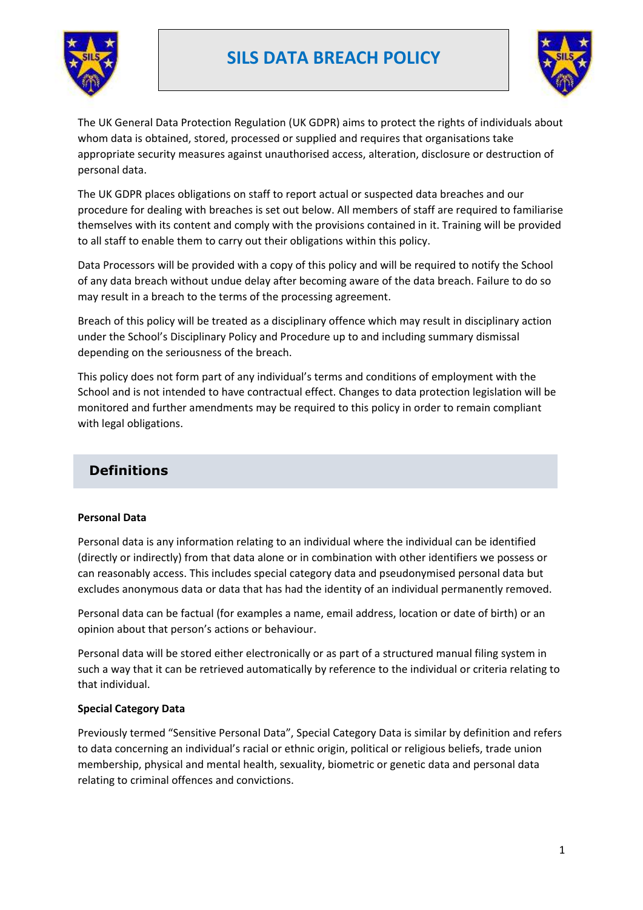

# **SILS DATA BREACH POLICY**



The UK General Data Protection Regulation (UK GDPR) aims to protect the rights of individuals about whom data is obtained, stored, processed or supplied and requires that organisations take appropriate security measures against unauthorised access, alteration, disclosure or destruction of personal data.

The UK GDPR places obligations on staff to report actual or suspected data breaches and our procedure for dealing with breaches is set out below. All members of staff are required to familiarise themselves with its content and comply with the provisions contained in it. Training will be provided to all staff to enable them to carry out their obligations within this policy.

Data Processors will be provided with a copy of this policy and will be required to notify the School of any data breach without undue delay after becoming aware of the data breach. Failure to do so may result in a breach to the terms of the processing agreement.

Breach of this policy will be treated as a disciplinary offence which may result in disciplinary action under the School's Disciplinary Policy and Procedure up to and including summary dismissal depending on the seriousness of the breach.

This policy does not form part of any individual's terms and conditions of employment with the School and is not intended to have contractual effect. Changes to data protection legislation will be monitored and further amendments may be required to this policy in order to remain compliant with legal obligations.

# **Definitions**

#### **Personal Data**

Personal data is any information relating to an individual where the individual can be identified (directly or indirectly) from that data alone or in combination with other identifiers we possess or can reasonably access. This includes special category data and pseudonymised personal data but excludes anonymous data or data that has had the identity of an individual permanently removed.

Personal data can be factual (for examples a name, email address, location or date of birth) or an opinion about that person's actions or behaviour.

Personal data will be stored either electronically or as part of a structured manual filing system in such a way that it can be retrieved automatically by reference to the individual or criteria relating to that individual.

#### **Special Category Data**

Previously termed "Sensitive Personal Data", Special Category Data is similar by definition and refers to data concerning an individual's racial or ethnic origin, political or religious beliefs, trade union membership, physical and mental health, sexuality, biometric or genetic data and personal data relating to criminal offences and convictions.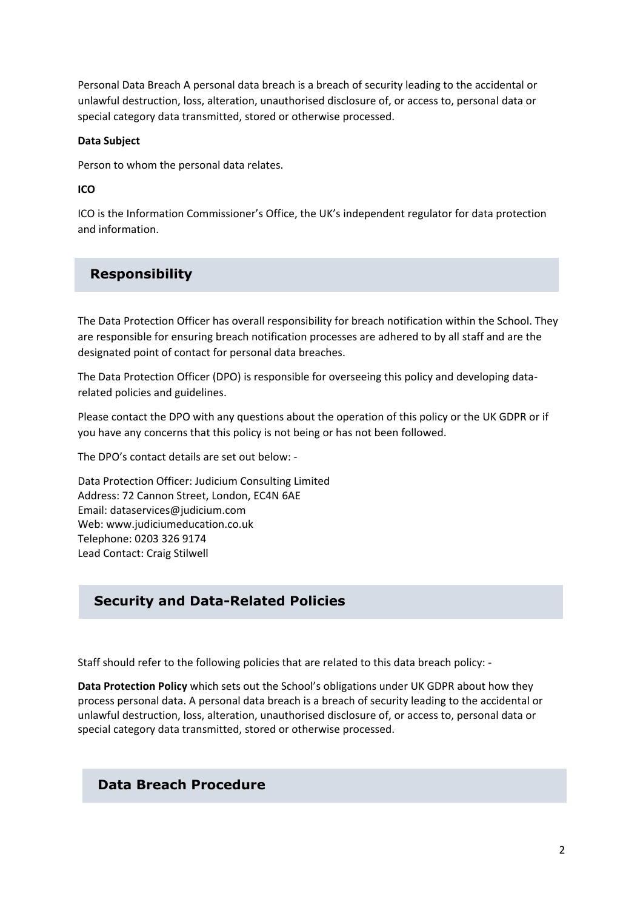Personal Data Breach A personal data breach is a breach of security leading to the accidental or unlawful destruction, loss, alteration, unauthorised disclosure of, or access to, personal data or special category data transmitted, stored or otherwise processed.

#### **Data Subject**

Person to whom the personal data relates.

**ICO**

ICO is the Information Commissioner's Office, the UK's independent regulator for data protection and information.

# **Responsibility**

The Data Protection Officer has overall responsibility for breach notification within the School. They are responsible for ensuring breach notification processes are adhered to by all staff and are the designated point of contact for personal data breaches.

The Data Protection Officer (DPO) is responsible for overseeing this policy and developing datarelated policies and guidelines.

Please contact the DPO with any questions about the operation of this policy or the UK GDPR or if you have any concerns that this policy is not being or has not been followed.

The DPO's contact details are set out below: -

Data Protection Officer: Judicium Consulting Limited Address: 72 Cannon Street, London, EC4N 6AE Email: [dataservices@judicium.com](mailto:dataservices@judicium.com) Web: www.judiciumeducation.co.uk Telephone: 0203 326 9174 Lead Contact: Craig Stilwell

# **Security and Data-Related Policies**

Staff should refer to the following policies that are related to this data breach policy: -

**Data Protection Policy** which sets out the School's obligations under UK GDPR about how they process personal data. A personal data breach is a breach of security leading to the accidental or unlawful destruction, loss, alteration, unauthorised disclosure of, or access to, personal data or special category data transmitted, stored or otherwise processed.

### **Data Breach Procedure**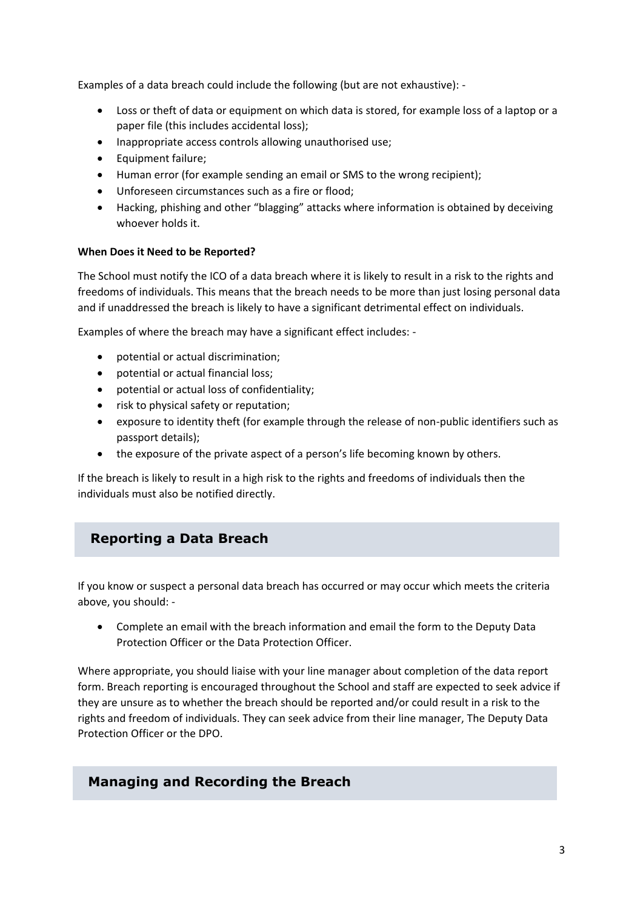Examples of a data breach could include the following (but are not exhaustive): -

- Loss or theft of data or equipment on which data is stored, for example loss of a laptop or a paper file (this includes accidental loss);
- Inappropriate access controls allowing unauthorised use;
- Equipment failure;
- Human error (for example sending an email or SMS to the wrong recipient);
- Unforeseen circumstances such as a fire or flood;
- Hacking, phishing and other "blagging" attacks where information is obtained by deceiving whoever holds it.

#### **When Does it Need to be Reported?**

The School must notify the ICO of a data breach where it is likely to result in a risk to the rights and freedoms of individuals. This means that the breach needs to be more than just losing personal data and if unaddressed the breach is likely to have a significant detrimental effect on individuals.

Examples of where the breach may have a significant effect includes: -

- potential or actual discrimination;
- potential or actual financial loss;
- potential or actual loss of confidentiality;
- risk to physical safety or reputation;
- exposure to identity theft (for example through the release of non-public identifiers such as passport details);
- the exposure of the private aspect of a person's life becoming known by others.

If the breach is likely to result in a high risk to the rights and freedoms of individuals then the individuals must also be notified directly.

# **Reporting a Data Breach**

If you know or suspect a personal data breach has occurred or may occur which meets the criteria above, you should: -

• Complete an email with the breach information and email the form to the Deputy Data Protection Officer or the Data Protection Officer.

Where appropriate, you should liaise with your line manager about completion of the data report form. Breach reporting is encouraged throughout the School and staff are expected to seek advice if they are unsure as to whether the breach should be reported and/or could result in a risk to the rights and freedom of individuals. They can seek advice from their line manager, The Deputy Data Protection Officer or the DPO.

### **Managing and Recording the Breach**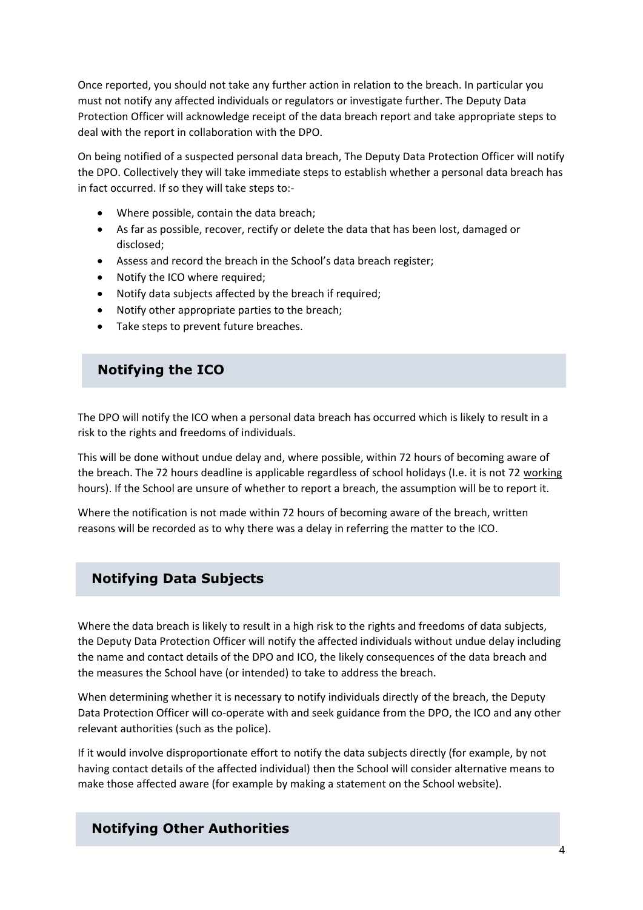Once reported, you should not take any further action in relation to the breach. In particular you must not notify any affected individuals or regulators or investigate further. The Deputy Data Protection Officer will acknowledge receipt of the data breach report and take appropriate steps to deal with the report in collaboration with the DPO.

On being notified of a suspected personal data breach, The Deputy Data Protection Officer will notify the DPO. Collectively they will take immediate steps to establish whether a personal data breach has in fact occurred. If so they will take steps to:-

- Where possible, contain the data breach;
- As far as possible, recover, rectify or delete the data that has been lost, damaged or disclosed;
- Assess and record the breach in the School's data breach register;
- Notify the ICO where required;
- Notify data subjects affected by the breach if required;
- Notify other appropriate parties to the breach;
- Take steps to prevent future breaches.

### **Notifying the ICO**

The DPO will notify the ICO when a personal data breach has occurred which is likely to result in a risk to the rights and freedoms of individuals.

This will be done without undue delay and, where possible, within 72 hours of becoming aware of the breach. The 72 hours deadline is applicable regardless of school holidays (I.e. it is not 72 working hours). If the School are unsure of whether to report a breach, the assumption will be to report it.

Where the notification is not made within 72 hours of becoming aware of the breach, written reasons will be recorded as to why there was a delay in referring the matter to the ICO.

### **Notifying Data Subjects**

Where the data breach is likely to result in a high risk to the rights and freedoms of data subjects, the Deputy Data Protection Officer will notify the affected individuals without undue delay including the name and contact details of the DPO and ICO, the likely consequences of the data breach and the measures the School have (or intended) to take to address the breach.

When determining whether it is necessary to notify individuals directly of the breach, the Deputy Data Protection Officer will co-operate with and seek guidance from the DPO, the ICO and any other relevant authorities (such as the police).

If it would involve disproportionate effort to notify the data subjects directly (for example, by not having contact details of the affected individual) then the School will consider alternative means to make those affected aware (for example by making a statement on the School website).

### **Notifying Other Authorities**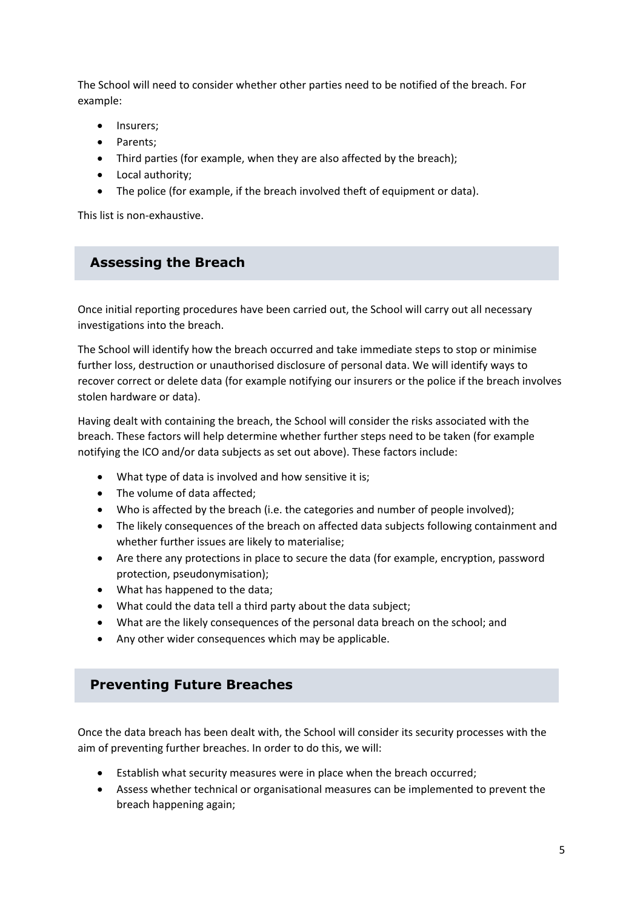The School will need to consider whether other parties need to be notified of the breach. For example:

- Insurers;
- Parents;
- Third parties (for example, when they are also affected by the breach);
- Local authority;
- The police (for example, if the breach involved theft of equipment or data).

This list is non-exhaustive.

### **Assessing the Breach**

Once initial reporting procedures have been carried out, the School will carry out all necessary investigations into the breach.

The School will identify how the breach occurred and take immediate steps to stop or minimise further loss, destruction or unauthorised disclosure of personal data. We will identify ways to recover correct or delete data (for example notifying our insurers or the police if the breach involves stolen hardware or data).

Having dealt with containing the breach, the School will consider the risks associated with the breach. These factors will help determine whether further steps need to be taken (for example notifying the ICO and/or data subjects as set out above). These factors include:

- What type of data is involved and how sensitive it is;
- The volume of data affected:
- Who is affected by the breach (i.e. the categories and number of people involved);
- The likely consequences of the breach on affected data subjects following containment and whether further issues are likely to materialise;
- Are there any protections in place to secure the data (for example, encryption, password protection, pseudonymisation);
- What has happened to the data;
- What could the data tell a third party about the data subject;
- What are the likely consequences of the personal data breach on the school; and
- Any other wider consequences which may be applicable.

### **Preventing Future Breaches**

Once the data breach has been dealt with, the School will consider its security processes with the aim of preventing further breaches. In order to do this, we will:

- Establish what security measures were in place when the breach occurred;
- Assess whether technical or organisational measures can be implemented to prevent the breach happening again;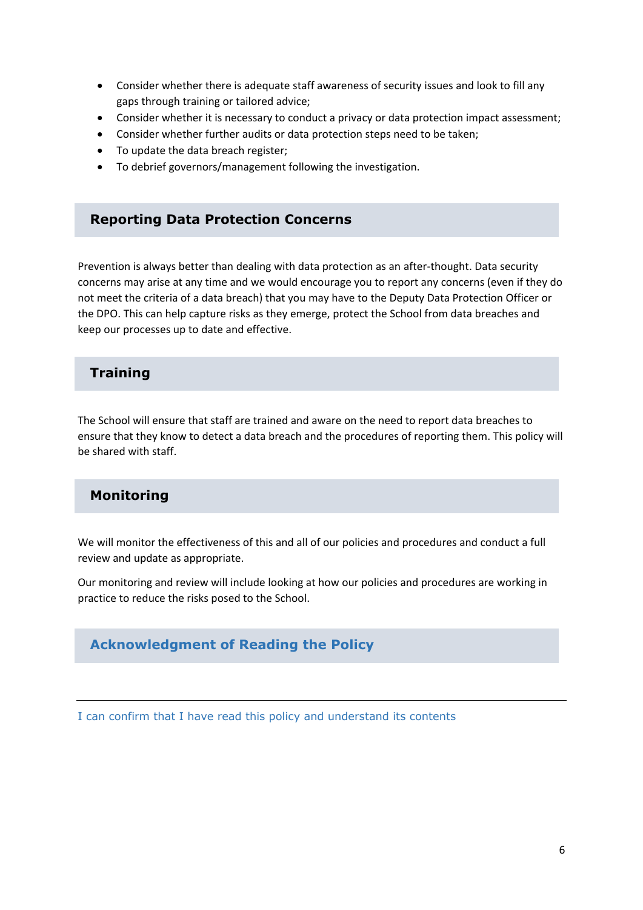- Consider whether there is adequate staff awareness of security issues and look to fill any gaps through training or tailored advice;
- Consider whether it is necessary to conduct a privacy or data protection impact assessment;
- Consider whether further audits or data protection steps need to be taken;
- To update the data breach register;
- To debrief governors/management following the investigation.

### **Reporting Data Protection Concerns**

Prevention is always better than dealing with data protection as an after-thought. Data security concerns may arise at any time and we would encourage you to report any concerns (even if they do not meet the criteria of a data breach) that you may have to the Deputy Data Protection Officer or the DPO. This can help capture risks as they emerge, protect the School from data breaches and keep our processes up to date and effective.

### **Training**

The School will ensure that staff are trained and aware on the need to report data breaches to ensure that they know to detect a data breach and the procedures of reporting them. This policy will be shared with staff.

#### **Monitoring**

We will monitor the effectiveness of this and all of our policies and procedures and conduct a full review and update as appropriate.

Our monitoring and review will include looking at how our policies and procedures are working in practice to reduce the risks posed to the School.

### **Acknowledgment of Reading the Policy**

I can confirm that I have read this policy and understand its contents